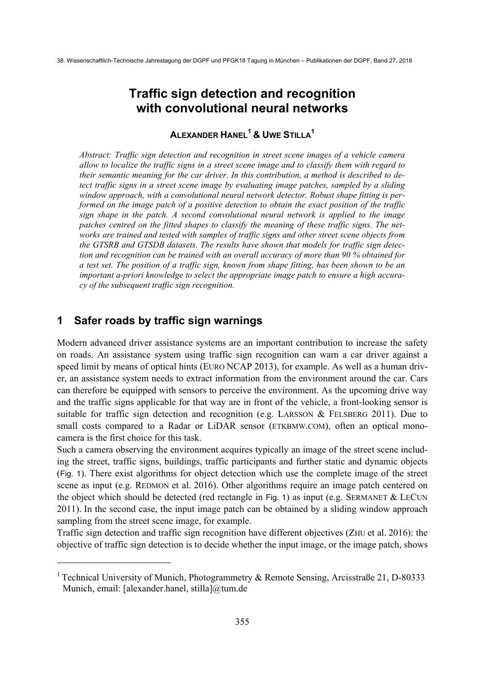38. Wissenschaftlich-Technische Jahrestagung der DGPF und PFGK18 Tagung in München – Publikationen der DGPF, Band 27, 2018

# **Traffic sign detection and recognition with convolutional neural networks**

# **ALEXANDER HANEL<sup>1</sup> & UWE STILLA1**

*Abstract: Traffic sign detection and recognition in street scene images of a vehicle camera allow to localize the traffic signs in a street scene image and to classify them with regard to their semantic meaning for the car driver. In this contribution, a method is described to detect traffic signs in a street scene image by evaluating image patches, sampled by a sliding window approach, with a convolutional neural network detector. Robust shape fitting is performed on the image patch of a positive detection to obtain the exact position of the traffic sign shape in the patch. A second convolutional neural network is applied to the image patches centred on the fitted shapes to classify the meaning of these traffic signs. The networks are trained and tested with samples of traffic signs and other street scene objects from the GTSRB and GTSDB datasets. The results have shown that models for traffic sign detection and recognition can be trained with an overall accuracy of more than 90 % obtained for a test set. The position of a traffic sign, known from shape fitting, has been shown to be an important a-priori knowledge to select the appropriate image patch to ensure a high accuracy of the subsequent traffic sign recognition.* 

## **1 Safer roads by traffic sign warnings**

1

Modern advanced driver assistance systems are an important contribution to increase the safety on roads. An assistance system using traffic sign recognition can warn a car driver against a speed limit by means of optical hints (EURO NCAP 2013), for example. As well as a human driver, an assistance system needs to extract information from the environment around the car. Cars can therefore be equipped with sensors to perceive the environment. As the upcoming drive way and the traffic signs applicable for that way are in front of the vehicle, a front-looking sensor is suitable for traffic sign detection and recognition (e.g. LARSSON  $\&$  FELSBERG 2011). Due to small costs compared to a Radar or LiDAR sensor (ETKBMW.COM), often an optical monocamera is the first choice for this task.

Such a camera observing the environment acquires typically an image of the street scene including the street, traffic signs, buildings, traffic participants and further static and dynamic objects (Fig. 1). There exist algorithms for object detection which use the complete image of the street scene as input (e.g. REDMON et al. 2016). Other algorithms require an image patch centered on the object which should be detected (red rectangle in Fig. 1) as input (e.g. SERMANET  $&$  LECUN 2011). In the second case, the input image patch can be obtained by a sliding window approach sampling from the street scene image, for example.

Traffic sign detection and traffic sign recognition have different objectives (ZHU et al. 2016): the objective of traffic sign detection is to decide whether the input image, or the image patch, shows

<sup>&</sup>lt;sup>1</sup> Technical University of Munich, Photogrammetry & Remote Sensing, Arcisstraße 21, D-80333 Munich, email: [alexander.hanel, stilla]@tum.de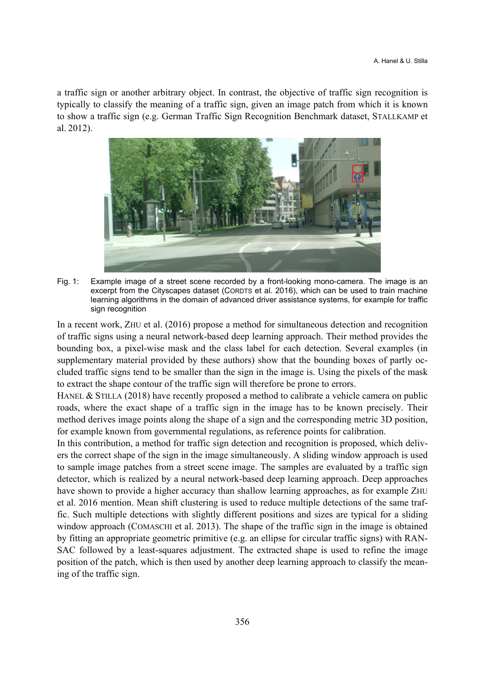a traffic sign or another arbitrary object. In contrast, the objective of traffic sign recognition is typically to classify the meaning of a traffic sign, given an image patch from which it is known to show a traffic sign (e.g. German Traffic Sign Recognition Benchmark dataset, STALLKAMP et al. 2012).



Fig. 1: Example image of a street scene recorded by a front-looking mono-camera. The image is an excerpt from the Cityscapes dataset (CORDTS et al. 2016), which can be used to train machine learning algorithms in the domain of advanced driver assistance systems, for example for traffic sign recognition

In a recent work, ZHU et al. (2016) propose a method for simultaneous detection and recognition of traffic signs using a neural network-based deep learning approach. Their method provides the bounding box, a pixel-wise mask and the class label for each detection. Several examples (in supplementary material provided by these authors) show that the bounding boxes of partly occluded traffic signs tend to be smaller than the sign in the image is. Using the pixels of the mask to extract the shape contour of the traffic sign will therefore be prone to errors.

HANEL & STILLA (2018) have recently proposed a method to calibrate a vehicle camera on public roads, where the exact shape of a traffic sign in the image has to be known precisely. Their method derives image points along the shape of a sign and the corresponding metric 3D position, for example known from governmental regulations, as reference points for calibration.

In this contribution, a method for traffic sign detection and recognition is proposed, which delivers the correct shape of the sign in the image simultaneously. A sliding window approach is used to sample image patches from a street scene image. The samples are evaluated by a traffic sign detector, which is realized by a neural network-based deep learning approach. Deep approaches have shown to provide a higher accuracy than shallow learning approaches, as for example ZHU et al. 2016 mention. Mean shift clustering is used to reduce multiple detections of the same traffic. Such multiple detections with slightly different positions and sizes are typical for a sliding window approach (COMASCHI et al. 2013). The shape of the traffic sign in the image is obtained by fitting an appropriate geometric primitive (e.g. an ellipse for circular traffic signs) with RAN-SAC followed by a least-squares adjustment. The extracted shape is used to refine the image position of the patch, which is then used by another deep learning approach to classify the meaning of the traffic sign.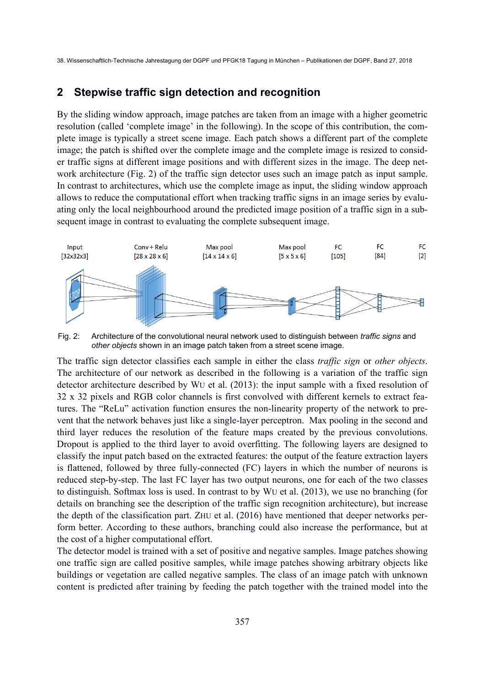38. Wissenschaftlich-Technische Jahrestagung der DGPF und PFGK18 Tagung in München – Publikationen der DGPF, Band 27, 2018

#### **2 Stepwise traffic sign detection and recognition**

By the sliding window approach, image patches are taken from an image with a higher geometric resolution (called 'complete image' in the following). In the scope of this contribution, the complete image is typically a street scene image. Each patch shows a different part of the complete image; the patch is shifted over the complete image and the complete image is resized to consider traffic signs at different image positions and with different sizes in the image. The deep network architecture (Fig. 2) of the traffic sign detector uses such an image patch as input sample. In contrast to architectures, which use the complete image as input, the sliding window approach allows to reduce the computational effort when tracking traffic signs in an image series by evaluating only the local neighbourhood around the predicted image position of a traffic sign in a subsequent image in contrast to evaluating the complete subsequent image.



Fig. 2: Architecture of the convolutional neural network used to distinguish between *traffic signs* and *other objects* shown in an image patch taken from a street scene image.

The traffic sign detector classifies each sample in either the class *traffic sign* or *other objects*. The architecture of our network as described in the following is a variation of the traffic sign detector architecture described by WU et al. (2013): the input sample with a fixed resolution of 32 x 32 pixels and RGB color channels is first convolved with different kernels to extract features. The "ReLu" activation function ensures the non-linearity property of the network to prevent that the network behaves just like a single-layer perceptron. Max pooling in the second and third layer reduces the resolution of the feature maps created by the previous convolutions. Dropout is applied to the third layer to avoid overfitting. The following layers are designed to classify the input patch based on the extracted features: the output of the feature extraction layers is flattened, followed by three fully-connected (FC) layers in which the number of neurons is reduced step-by-step. The last FC layer has two output neurons, one for each of the two classes to distinguish. Softmax loss is used. In contrast to by WU et al. (2013), we use no branching (for details on branching see the description of the traffic sign recognition architecture), but increase the depth of the classification part. ZHU et al. (2016) have mentioned that deeper networks perform better. According to these authors, branching could also increase the performance, but at the cost of a higher computational effort.

The detector model is trained with a set of positive and negative samples. Image patches showing one traffic sign are called positive samples, while image patches showing arbitrary objects like buildings or vegetation are called negative samples. The class of an image patch with unknown content is predicted after training by feeding the patch together with the trained model into the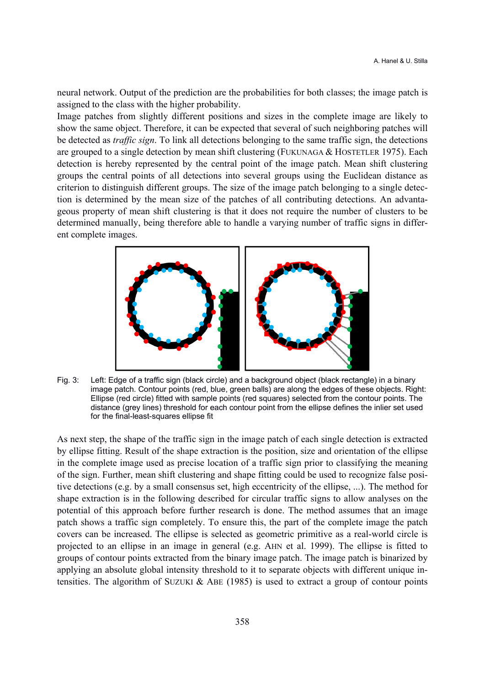neural network. Output of the prediction are the probabilities for both classes; the image patch is assigned to the class with the higher probability.

Image patches from slightly different positions and sizes in the complete image are likely to show the same object. Therefore, it can be expected that several of such neighboring patches will be detected as *traffic sign*. To link all detections belonging to the same traffic sign, the detections are grouped to a single detection by mean shift clustering (FUKUNAGA & HOSTETLER 1975). Each detection is hereby represented by the central point of the image patch. Mean shift clustering groups the central points of all detections into several groups using the Euclidean distance as criterion to distinguish different groups. The size of the image patch belonging to a single detection is determined by the mean size of the patches of all contributing detections. An advantageous property of mean shift clustering is that it does not require the number of clusters to be determined manually, being therefore able to handle a varying number of traffic signs in different complete images.



Fig. 3: Left: Edge of a traffic sign (black circle) and a background object (black rectangle) in a binary image patch. Contour points (red, blue, green balls) are along the edges of these objects. Right: Ellipse (red circle) fitted with sample points (red squares) selected from the contour points. The distance (grey lines) threshold for each contour point from the ellipse defines the inlier set used for the final-least-squares ellipse fit

As next step, the shape of the traffic sign in the image patch of each single detection is extracted by ellipse fitting. Result of the shape extraction is the position, size and orientation of the ellipse in the complete image used as precise location of a traffic sign prior to classifying the meaning of the sign. Further, mean shift clustering and shape fitting could be used to recognize false positive detections (e.g. by a small consensus set, high eccentricity of the ellipse, ...). The method for shape extraction is in the following described for circular traffic signs to allow analyses on the potential of this approach before further research is done. The method assumes that an image patch shows a traffic sign completely. To ensure this, the part of the complete image the patch covers can be increased. The ellipse is selected as geometric primitive as a real-world circle is projected to an ellipse in an image in general (e.g. AHN et al. 1999). The ellipse is fitted to groups of contour points extracted from the binary image patch. The image patch is binarized by applying an absolute global intensity threshold to it to separate objects with different unique intensities. The algorithm of SUZUKI & ABE (1985) is used to extract a group of contour points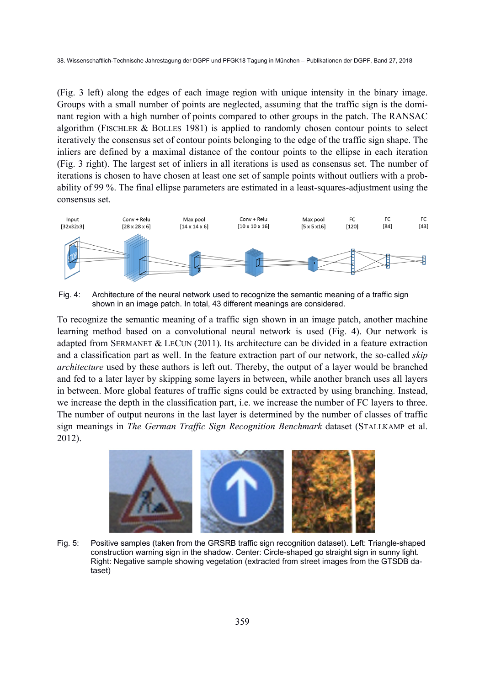(Fig. 3 left) along the edges of each image region with unique intensity in the binary image. Groups with a small number of points are neglected, assuming that the traffic sign is the dominant region with a high number of points compared to other groups in the patch. The RANSAC algorithm (FISCHLER & BOLLES 1981) is applied to randomly chosen contour points to select iteratively the consensus set of contour points belonging to the edge of the traffic sign shape. The inliers are defined by a maximal distance of the contour points to the ellipse in each iteration (Fig. 3 right). The largest set of inliers in all iterations is used as consensus set. The number of iterations is chosen to have chosen at least one set of sample points without outliers with a probability of 99 %. The final ellipse parameters are estimated in a least-squares-adjustment using the consensus set.



Fig. 4: Architecture of the neural network used to recognize the semantic meaning of a traffic sign shown in an image patch. In total, 43 different meanings are considered.

To recognize the semantic meaning of a traffic sign shown in an image patch, another machine learning method based on a convolutional neural network is used (Fig. 4). Our network is adapted from SERMANET  $& \text{LECUN} (2011)$ . Its architecture can be divided in a feature extraction and a classification part as well. In the feature extraction part of our network, the so-called *skip architecture* used by these authors is left out. Thereby, the output of a layer would be branched and fed to a later layer by skipping some layers in between, while another branch uses all layers in between. More global features of traffic signs could be extracted by using branching. Instead, we increase the depth in the classification part, i.e. we increase the number of FC layers to three. The number of output neurons in the last layer is determined by the number of classes of traffic sign meanings in *The German Traffic Sign Recognition Benchmark* dataset (STALLKAMP et al. 2012).



Fig. 5: Positive samples (taken from the GRSRB traffic sign recognition dataset). Left: Triangle-shaped construction warning sign in the shadow. Center: Circle-shaped go straight sign in sunny light. Right: Negative sample showing vegetation (extracted from street images from the GTSDB dataset)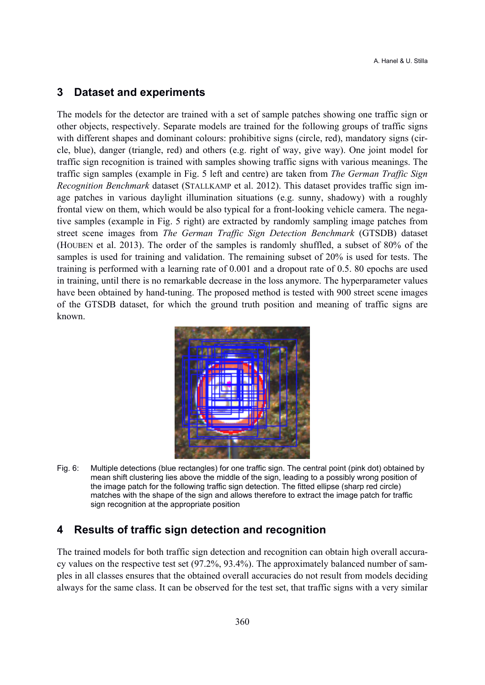#### **3 Dataset and experiments**

The models for the detector are trained with a set of sample patches showing one traffic sign or other objects, respectively. Separate models are trained for the following groups of traffic signs with different shapes and dominant colours: prohibitive signs (circle, red), mandatory signs (circle, blue), danger (triangle, red) and others (e.g. right of way, give way). One joint model for traffic sign recognition is trained with samples showing traffic signs with various meanings. The traffic sign samples (example in Fig. 5 left and centre) are taken from *The German Traffic Sign Recognition Benchmark* dataset (STALLKAMP et al. 2012). This dataset provides traffic sign image patches in various daylight illumination situations (e.g. sunny, shadowy) with a roughly frontal view on them, which would be also typical for a front-looking vehicle camera. The negative samples (example in Fig. 5 right) are extracted by randomly sampling image patches from street scene images from *The German Traffic Sign Detection Benchmark* (GTSDB) dataset (HOUBEN et al. 2013). The order of the samples is randomly shuffled, a subset of 80% of the samples is used for training and validation. The remaining subset of 20% is used for tests. The training is performed with a learning rate of 0.001 and a dropout rate of 0.5. 80 epochs are used in training, until there is no remarkable decrease in the loss anymore. The hyperparameter values have been obtained by hand-tuning. The proposed method is tested with 900 street scene images of the GTSDB dataset, for which the ground truth position and meaning of traffic signs are known.



Fig. 6: Multiple detections (blue rectangles) for one traffic sign. The central point (pink dot) obtained by mean shift clustering lies above the middle of the sign, leading to a possibly wrong position of the image patch for the following traffic sign detection. The fitted ellipse (sharp red circle) matches with the shape of the sign and allows therefore to extract the image patch for traffic sign recognition at the appropriate position

## **4 Results of traffic sign detection and recognition**

The trained models for both traffic sign detection and recognition can obtain high overall accuracy values on the respective test set (97.2%, 93.4%). The approximately balanced number of samples in all classes ensures that the obtained overall accuracies do not result from models deciding always for the same class. It can be observed for the test set, that traffic signs with a very similar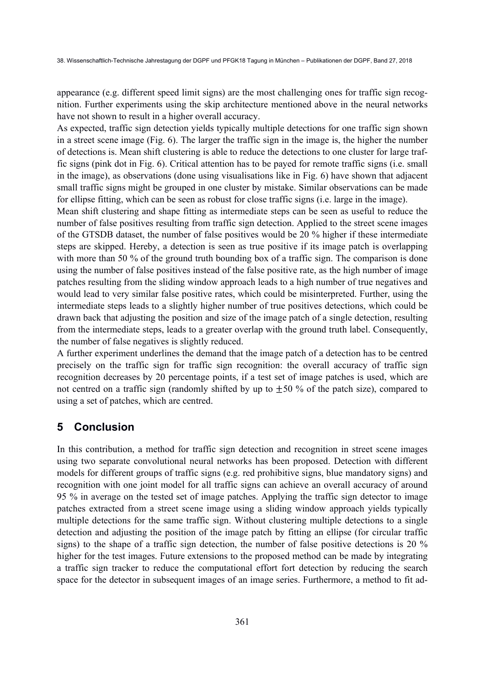38. Wissenschaftlich-Technische Jahrestagung der DGPF und PFGK18 Tagung in München – Publikationen der DGPF, Band 27, 2018

appearance (e.g. different speed limit signs) are the most challenging ones for traffic sign recognition. Further experiments using the skip architecture mentioned above in the neural networks have not shown to result in a higher overall accuracy.

As expected, traffic sign detection yields typically multiple detections for one traffic sign shown in a street scene image (Fig. 6). The larger the traffic sign in the image is, the higher the number of detections is. Mean shift clustering is able to reduce the detections to one cluster for large traffic signs (pink dot in Fig. 6). Critical attention has to be payed for remote traffic signs (i.e. small in the image), as observations (done using visualisations like in Fig. 6) have shown that adjacent small traffic signs might be grouped in one cluster by mistake. Similar observations can be made for ellipse fitting, which can be seen as robust for close traffic signs (i.e. large in the image).

Mean shift clustering and shape fitting as intermediate steps can be seen as useful to reduce the number of false positives resulting from traffic sign detection. Applied to the street scene images of the GTSDB dataset, the number of false positives would be 20 % higher if these intermediate steps are skipped. Hereby, a detection is seen as true positive if its image patch is overlapping with more than 50 % of the ground truth bounding box of a traffic sign. The comparison is done using the number of false positives instead of the false positive rate, as the high number of image patches resulting from the sliding window approach leads to a high number of true negatives and would lead to very similar false positive rates, which could be misinterpreted. Further, using the intermediate steps leads to a slightly higher number of true positives detections, which could be drawn back that adjusting the position and size of the image patch of a single detection, resulting from the intermediate steps, leads to a greater overlap with the ground truth label. Consequently, the number of false negatives is slightly reduced.

A further experiment underlines the demand that the image patch of a detection has to be centred precisely on the traffic sign for traffic sign recognition: the overall accuracy of traffic sign recognition decreases by 20 percentage points, if a test set of image patches is used, which are not centred on a traffic sign (randomly shifted by up to  $\pm 50$  % of the patch size), compared to using a set of patches, which are centred.

# **5 Conclusion**

In this contribution, a method for traffic sign detection and recognition in street scene images using two separate convolutional neural networks has been proposed. Detection with different models for different groups of traffic signs (e.g. red prohibitive signs, blue mandatory signs) and recognition with one joint model for all traffic signs can achieve an overall accuracy of around 95 % in average on the tested set of image patches. Applying the traffic sign detector to image patches extracted from a street scene image using a sliding window approach yields typically multiple detections for the same traffic sign. Without clustering multiple detections to a single detection and adjusting the position of the image patch by fitting an ellipse (for circular traffic signs) to the shape of a traffic sign detection, the number of false positive detections is 20 % higher for the test images. Future extensions to the proposed method can be made by integrating a traffic sign tracker to reduce the computational effort fort detection by reducing the search space for the detector in subsequent images of an image series. Furthermore, a method to fit ad